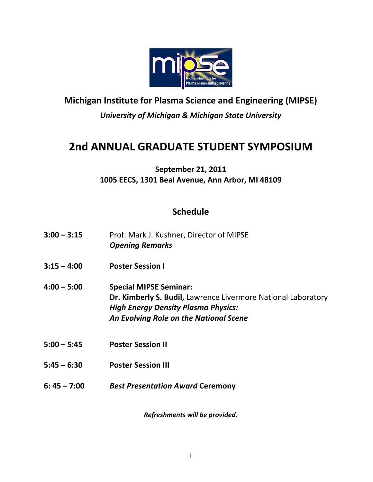

# **Michigan Institute for Plasma Science and Engineering (MIPSE)** *University of Michigan & Michigan State University*

# **2nd ANNUAL GRADUATE STUDENT SYMPOSIUM**

## **September 21, 2011 1005 EECS, 1301 Beal Avenue, Ann Arbor, MI 48109**

## **Schedule**

| $3:00 - 3:15$ | Prof. Mark J. Kushner, Director of MIPSE<br><b>Opening Remarks</b>                                                                                                                     |
|---------------|----------------------------------------------------------------------------------------------------------------------------------------------------------------------------------------|
| $3:15 - 4:00$ | <b>Poster Session I</b>                                                                                                                                                                |
| $4:00 - 5:00$ | <b>Special MIPSE Seminar:</b><br>Dr. Kimberly S. Budil, Lawrence Livermore National Laboratory<br><b>High Energy Density Plasma Physics:</b><br>An Evolving Role on the National Scene |
| $5:00 - 5:45$ | <b>Poster Session II</b>                                                                                                                                                               |
| $5:45 - 6:30$ | <b>Poster Session III</b>                                                                                                                                                              |
| $6:45 - 7:00$ | <b>Best Presentation Award Ceremony</b>                                                                                                                                                |
|               |                                                                                                                                                                                        |

*Refreshments will be provided.*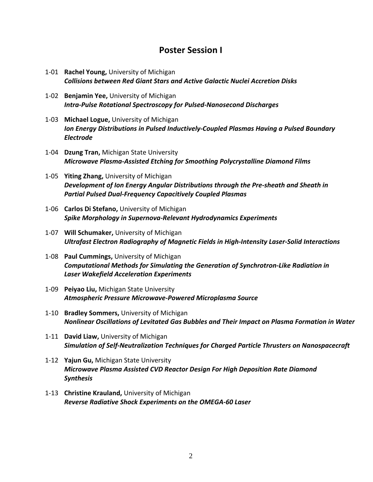### **Poster Session I**

- 1‐01 **Rachel Young,** University of Michigan *Collisions between Red Giant Stars and Active Galactic Nuclei Accretion Disks*
- 1‐02 **Benjamin Yee,** University of Michigan *Intra‐Pulse Rotational Spectroscopy for Pulsed‐Nanosecond Discharges*
- 1‐03 **Michael Logue,** University of Michigan *Ion Energy Distributions in Pulsed Inductively‐Coupled Plasmas Having a Pulsed Boundary Electrode*
- 1‐04 **Dzung Tran,** Michigan State University *Microwave Plasma‐Assisted Etching for Smoothing Polycrystalline Diamond Films*
- 1‐05 **Yiting Zhang,** University of Michigan *Development of Ion Energy Angular Distributions through the Pre‐sheath and Sheath in Partial Pulsed Dual‐Frequency Capacitively Coupled Plasmas*
- 1‐06 **Carlos Di Stefano,** University of Michigan *Spike Morphology in Supernova‐Relevant Hydrodynamics Experiments*
- 1‐07 **Will Schumaker,** University of Michigan *Ultrafast Electron Radiography of Magnetic Fields in High‐Intensity Laser‐Solid Interactions*
- 1‐08 **Paul Cummings,** University of Michigan *Computational Methods for Simulating the Generation of Synchrotron‐Like Radiation in Laser Wakefield Acceleration Experiments*
- 1‐09 **Peiyao Liu,** Michigan State University *Atmospheric Pressure Microwave‐Powered Microplasma Source*
- 1‐10 **Bradley Sommers,** University of Michigan *Nonlinear Oscillations of Levitated Gas Bubbles and Their Impact on Plasma Formation in Water*
- 1‐11 **David Liaw,** University of Michigan *Simulation of Self‐Neutralization Techniques for Charged Particle Thrusters on Nanospacecraft*
- 1‐12 **Yajun Gu,** Michigan State University *Microwave Plasma Assisted CVD Reactor Design For High Deposition Rate Diamond Synthesis*
- 1‐13 **Christine Krauland,** University of Michigan *Reverse Radiative Shock Experiments on the OMEGA‐60 Laser*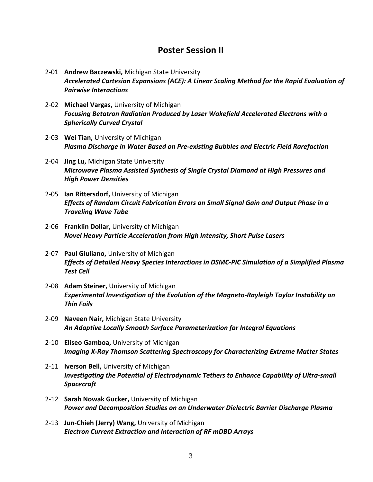### **Poster Session II**

- 2‐01 **Andrew Baczewski,** Michigan State University *Accelerated Cartesian Expansions (ACE): A Linear Scaling Method for the Rapid Evaluation of Pairwise Interactions*
- 2‐02 **Michael Vargas,** University of Michigan *Focusing Betatron Radiation Produced by Laser Wakefield Accelerated Electrons with a Spherically Curved Crystal*
- 2‐03 **Wei Tian,** University of Michigan *Plasma Discharge in Water Based on Pre‐existing Bubbles and Electric Field Rarefaction*
- 2‐04 **Jing Lu,** Michigan State University *Microwave Plasma Assisted Synthesis of Single Crystal Diamond at High Pressures and High Power Densities*
- 2‐05 **Ian Rittersdorf,** University of Michigan *Effects of Random Circuit Fabrication Errors on Small Signal Gain and Output Phase in a Traveling Wave Tube*
- 2‐06 **Franklin Dollar,** University of Michigan *Novel Heavy Particle Acceleration from High Intensity, Short Pulse Lasers*
- 2‐07 **Paul Giuliano,** University of Michigan *Effects of Detailed Heavy Species Interactions in DSMC‐PIC Simulation of a Simplified Plasma Test Cell*
- 2‐08 **Adam Steiner,** University of Michigan *Experimental Investigation of the Evolution of the Magneto‐Rayleigh Taylor Instability on Thin Foils*
- 2‐09 **Naveen Nair,** Michigan State University *An Adaptive Locally Smooth Surface Parameterization for Integral Equations*
- 2‐10 **Eliseo Gamboa,** University of Michigan *Imaging X‐Ray Thomson Scattering Spectroscopy for Characterizing Extreme Matter States*
- 2‐11 **Iverson Bell,** University of Michigan *Investigating the Potential of Electrodynamic Tethers to Enhance Capability of Ultra‐small Spacecraft*
- 2‐12 **Sarah Nowak Gucker,** University of Michigan *Power and Decomposition Studies on an Underwater Dielectric Barrier Discharge Plasma*
- 2‐13 **Jun‐Chieh (Jerry) Wang,** University of Michigan *Electron Current Extraction and Interaction of RF mDBD Arrays*